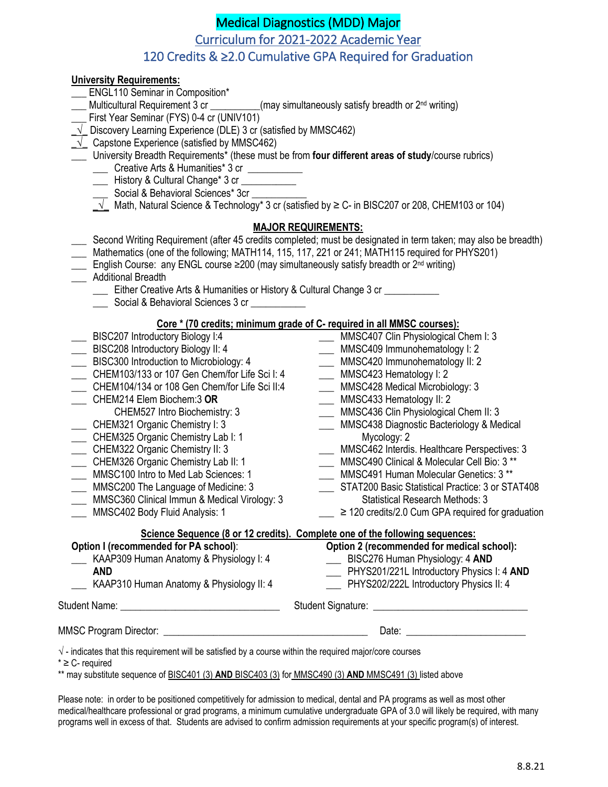# Medical Diagnostics (MDD) Major

Curriculum for 2021-2022 Academic Year

## 120 Credits & ≥2.0 Cumulative GPA Required for Graduation

### **University Requirements:**

- 
- **LAURE ENGL110 Seminar in Composition\***<br> **LAURE Multicultural Requirement 3 cr** (may simultaneously satisfy breadth or  $2<sup>nd</sup>$  writing)
- First Year Seminar (FYS) 0-4 cr (UNIV101)
- **\_√\_** Discovery Learning Experience (DLE) 3 cr (satisfied by MMSC462)
- $\sqrt{\phantom{a}}$  Capstone Experience (satisfied by MMSC462)
- \_\_\_ University Breadth Requirements\* (these must be from **four different areas of study**/course rubrics) \_\_\_ Creative Arts & Humanities\* 3 cr \_\_\_\_\_\_\_\_\_\_\_
	- Lacker History & Cultural Change\* 3 cr
	- Social & Behavioral Sciences\* 3cr
	- $\sqrt{\phantom{a}}$  Math, Natural Science & Technology\* 3 cr (satisfied by ≥ C- in BISC207 or 208, CHEM103 or 104)

### **MAJOR REQUIREMENTS:**

- \_\_\_ Second Writing Requirement (after 45 credits completed; must be designated in term taken; may also be breadth)
- \_\_\_ Mathematics (one of the following; MATH114, 115, 117, 221 or 241; MATH115 required for PHYS201)
- $\Box$  English Course: any ENGL course ≥200 (may simultaneously satisfy breadth or  $2^{nd}$  writing)
- \_\_\_ Additional Breadth
	- \_\_\_ Either Creative Arts & Humanities or History & Cultural Change 3 cr \_\_\_\_\_\_\_\_\_\_\_
	- Social & Behavioral Sciences 3 cr

## **Core \* (70 credits; minimum grade of C- required in all MMSC courses):**

| BISC207 Introductory Biology I:4                                                                                  | MMSC407 Clin Physiological Chem I: 3                                                                                                                                                                                           |
|-------------------------------------------------------------------------------------------------------------------|--------------------------------------------------------------------------------------------------------------------------------------------------------------------------------------------------------------------------------|
| BISC208 Introductory Biology II: 4                                                                                | MMSC409 Immunohematology I: 2                                                                                                                                                                                                  |
| BISC300 Introduction to Microbiology: 4<br>$\overline{a}$                                                         | MMSC420 Immunohematology II: 2<br>$\sim$                                                                                                                                                                                       |
| CHEM103/133 or 107 Gen Chem/for Life Sci I: 4                                                                     | MMSC423 Hematology I: 2                                                                                                                                                                                                        |
| CHEM104/134 or 108 Gen Chem/for Life Sci II:4                                                                     | MMSC428 Medical Microbiology: 3                                                                                                                                                                                                |
| CHEM214 Elem Biochem:3 OR                                                                                         | ___ MMSC433 Hematology II: 2                                                                                                                                                                                                   |
| CHEM527 Intro Biochemistry: 3                                                                                     | MMSC436 Clin Physiological Chem II: 3                                                                                                                                                                                          |
| CHEM321 Organic Chemistry I: 3                                                                                    | MMSC438 Diagnostic Bacteriology & Medical                                                                                                                                                                                      |
| CHEM325 Organic Chemistry Lab I: 1                                                                                | Mycology: 2                                                                                                                                                                                                                    |
| CHEM322 Organic Chemistry II: 3                                                                                   | MMSC462 Interdis. Healthcare Perspectives: 3                                                                                                                                                                                   |
| CHEM326 Organic Chemistry Lab II: 1                                                                               | MMSC490 Clinical & Molecular Cell Bio: 3 **                                                                                                                                                                                    |
| MMSC100 Intro to Med Lab Sciences: 1                                                                              | <b>MMSC491 Human Molecular Genetics: 3 **</b>                                                                                                                                                                                  |
| MMSC200 The Language of Medicine: 3                                                                               | STAT200 Basic Statistical Practice: 3 or STAT408                                                                                                                                                                               |
| MMSC360 Clinical Immun & Medical Virology: 3                                                                      | <b>Statistical Research Methods: 3</b>                                                                                                                                                                                         |
| MMSC402 Body Fluid Analysis: 1                                                                                    | $\geq$ 120 credits/2.0 Cum GPA required for graduation                                                                                                                                                                         |
|                                                                                                                   | Science Sequence (8 or 12 credits). Complete one of the following sequences:                                                                                                                                                   |
| Option I (recommended for PA school):                                                                             | Option 2 (recommended for medical school):                                                                                                                                                                                     |
| KAAP309 Human Anatomy & Physiology I: 4                                                                           | EISC276 Human Physiology: 4 AND                                                                                                                                                                                                |
| <b>AND</b>                                                                                                        | PHYS201/221L Introductory Physics I: 4 AND                                                                                                                                                                                     |
| KAAP310 Human Anatomy & Physiology II: 4                                                                          | PHYS202/222L Introductory Physics II: 4                                                                                                                                                                                        |
|                                                                                                                   |                                                                                                                                                                                                                                |
|                                                                                                                   | Date: the contract of the contract of the contract of the contract of the contract of the contract of the contract of the contract of the contract of the contract of the contract of the contract of the contract of the cont |
|                                                                                                                   |                                                                                                                                                                                                                                |
| $\sqrt{ }$ - indicates that this requirement will be satisfied by a course within the required major/core courses |                                                                                                                                                                                                                                |
| $* \geq C$ - required                                                                                             |                                                                                                                                                                                                                                |

\*\* may substitute sequence of BISC401 (3) **AND** BISC403 (3) for MMSC490 (3) **AND** MMSC491 (3) listed above

Please note: in order to be positioned competitively for admission to medical, dental and PA programs as well as most other medical/healthcare professional or grad programs, a minimum cumulative undergraduate GPA of 3.0 will likely be required, with many programs well in excess of that. Students are advised to confirm admission requirements at your specific program(s) of interest.